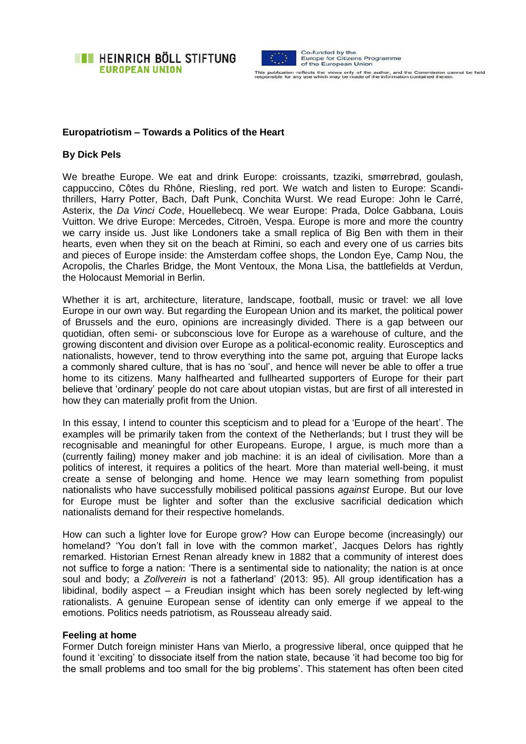



This publication reflects the views only of the author, and the Commission cannot be held<br>responsible for any use which may be made of the information contained therein.

### **Europatriotism – Towards a Politics of the Heart**

# **By Dick Pels**

We breathe Europe. We eat and drink Europe: croissants, tzaziki, smørrebrød, goulash, cappuccino, Côtes du Rhône, Riesling, red port. We watch and listen to Europe: Scandithrillers, Harry Potter, Bach, Daft Punk, Conchita Wurst. We read Europe: John le Carré, Asterix, the *Da Vinci Code*, Houellebecq. We wear Europe: Prada, Dolce Gabbana, Louis Vuitton. We drive Europe: Mercedes, Citroën, Vespa. Europe is more and more the country we carry inside us. Just like Londoners take a small replica of Big Ben with them in their hearts, even when they sit on the beach at Rimini, so each and every one of us carries bits and pieces of Europe inside: the Amsterdam coffee shops, the London Eye, Camp Nou, the Acropolis, the Charles Bridge, the Mont Ventoux, the Mona Lisa, the battlefields at Verdun, the Holocaust Memorial in Berlin.

Whether it is art, architecture, literature, landscape, football, music or travel: we all love Europe in our own way. But regarding the European Union and its market, the political power of Brussels and the euro, opinions are increasingly divided. There is a gap between our quotidian, often semi- or subconscious love for Europe as a warehouse of culture, and the growing discontent and division over Europe as a political-economic reality. Eurosceptics and nationalists, however, tend to throw everything into the same pot, arguing that Europe lacks a commonly shared culture, that is has no 'soul', and hence will never be able to offer a true home to its citizens. Many halfhearted and fullhearted supporters of Europe for their part believe that 'ordinary' people do not care about utopian vistas, but are first of all interested in how they can materially profit from the Union.

In this essay, I intend to counter this scepticism and to plead for a 'Europe of the heart'. The examples will be primarily taken from the context of the Netherlands; but I trust they will be recognisable and meaningful for other Europeans. Europe, I argue, is much more than a (currently failing) money maker and job machine: it is an ideal of civilisation. More than a politics of interest, it requires a politics of the heart. More than material well-being, it must create a sense of belonging and home. Hence we may learn something from populist nationalists who have successfully mobilised political passions *against* Europe. But our love for Europe must be lighter and softer than the exclusive sacrificial dedication which nationalists demand for their respective homelands.

How can such a lighter love for Europe grow? How can Europe become (increasingly) our homeland? 'You don't fall in love with the common market', Jacques Delors has rightly remarked. Historian Ernest Renan already knew in 1882 that a community of interest does not suffice to forge a nation: 'There is a sentimental side to nationality; the nation is at once soul and body; a *Zollverein* is not a fatherland' (2013: 95). All group identification has a libidinal, bodily aspect – a Freudian insight which has been sorely neglected by left-wing rationalists. A genuine European sense of identity can only emerge if we appeal to the emotions. Politics needs patriotism, as Rousseau already said.

#### **Feeling at home**

Former Dutch foreign minister Hans van Mierlo, a progressive liberal, once quipped that he found it 'exciting' to dissociate itself from the nation state, because 'it had become too big for the small problems and too small for the big problems'. This statement has often been cited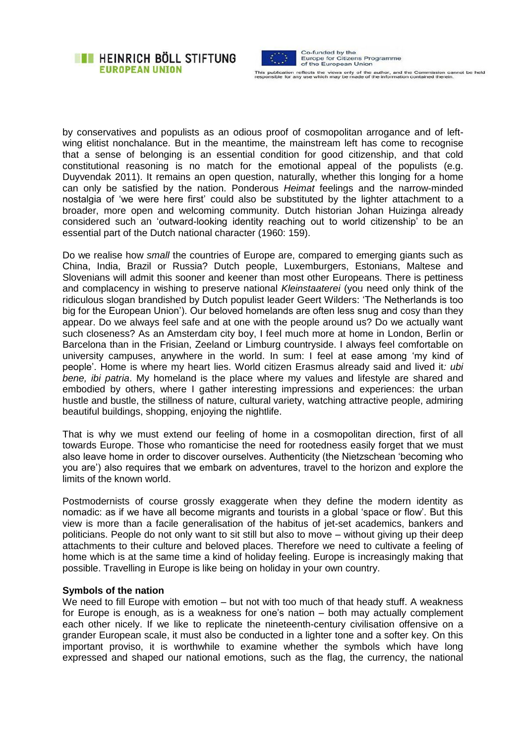



This publication reflects the views only of the author, and the Commission cannot be held<br>responsible for any use which may be made of the information contained therein.

by conservatives and populists as an odious proof of cosmopolitan arrogance and of leftwing elitist nonchalance. But in the meantime, the mainstream left has come to recognise that a sense of belonging is an essential condition for good citizenship, and that cold constitutional reasoning is no match for the emotional appeal of the populists (e.g. Duyvendak 2011). It remains an open question, naturally, whether this longing for a home can only be satisfied by the nation. Ponderous *Heimat* feelings and the narrow-minded nostalgia of 'we were here first' could also be substituted by the lighter attachment to a broader, more open and welcoming community. Dutch historian Johan Huizinga already considered such an 'outward-looking identity reaching out to world citizenship' to be an essential part of the Dutch national character (1960: 159).

Do we realise how *small* the countries of Europe are, compared to emerging giants such as China, India, Brazil or Russia? Dutch people, Luxemburgers, Estonians, Maltese and Slovenians will admit this sooner and keener than most other Europeans. There is pettiness and complacency in wishing to preserve national *Kleinstaaterei* (you need only think of the ridiculous slogan brandished by Dutch populist leader Geert Wilders: 'The Netherlands is too big for the European Union'). Our beloved homelands are often less snug and cosy than they appear. Do we always feel safe and at one with the people around us? Do we actually want such closeness? As an Amsterdam city boy, I feel much more at home in London, Berlin or Barcelona than in the Frisian, Zeeland or Limburg countryside. I always feel comfortable on university campuses, anywhere in the world. In sum: I feel at ease among 'my kind of people'. Home is where my heart lies. World citizen Erasmus already said and lived it*: ubi bene, ibi patria*. My homeland is the place where my values and lifestyle are shared and embodied by others, where I gather interesting impressions and experiences: the urban hustle and bustle, the stillness of nature, cultural variety, watching attractive people, admiring beautiful buildings, shopping, enjoying the nightlife.

That is why we must extend our feeling of home in a cosmopolitan direction, first of all towards Europe. Those who romanticise the need for rootedness easily forget that we must also leave home in order to discover ourselves. Authenticity (the Nietzschean 'becoming who you are') also requires that we embark on adventures, travel to the horizon and explore the limits of the known world.

Postmodernists of course grossly exaggerate when they define the modern identity as nomadic: as if we have all become migrants and tourists in a global 'space or flow'. But this view is more than a facile generalisation of the habitus of jet-set academics, bankers and politicians. People do not only want to sit still but also to move – without giving up their deep attachments to their culture and beloved places. Therefore we need to cultivate a feeling of home which is at the same time a kind of holiday feeling. Europe is increasingly making that possible. Travelling in Europe is like being on holiday in your own country.

## **Symbols of the nation**

We need to fill Europe with emotion – but not with too much of that heady stuff. A weakness for Europe is enough, as is a weakness for one's nation – both may actually complement each other nicely. If we like to replicate the nineteenth-century civilisation offensive on a grander European scale, it must also be conducted in a lighter tone and a softer key. On this important proviso, it is worthwhile to examine whether the symbols which have long expressed and shaped our national emotions, such as the flag, the currency, the national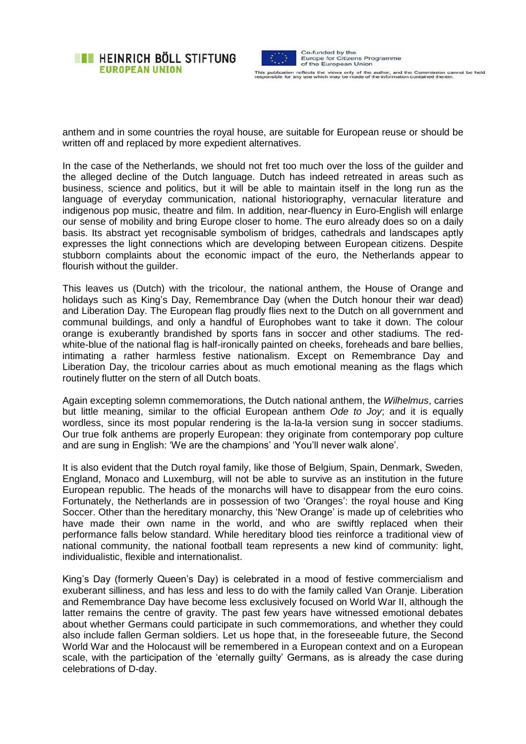



This publication reflects the views only of the author, and the Commission cannot be held<br>responsible for any use which may be made of the information contained therein.

anthem and in some countries the royal house, are suitable for European reuse or should be written off and replaced by more expedient alternatives.

In the case of the Netherlands, we should not fret too much over the loss of the guilder and the alleged decline of the Dutch language. Dutch has indeed retreated in areas such as business, science and politics, but it will be able to maintain itself in the long run as the language of everyday communication, national historiography, vernacular literature and indigenous pop music, theatre and film. In addition, near-fluency in Euro-English will enlarge our sense of mobility and bring Europe closer to home. The euro already does so on a daily basis. Its abstract yet recognisable symbolism of bridges, cathedrals and landscapes aptly expresses the light connections which are developing between European citizens. Despite stubborn complaints about the economic impact of the euro, the Netherlands appear to flourish without the quilder.

This leaves us (Dutch) with the tricolour, the national anthem, the House of Orange and holidays such as King's Day, Remembrance Day (when the Dutch honour their war dead) and Liberation Day. The European flag proudly flies next to the Dutch on all government and communal buildings, and only a handful of Europhobes want to take it down. The colour orange is exuberantly brandished by sports fans in soccer and other stadiums. The redwhite-blue of the national flag is half-ironically painted on cheeks, foreheads and bare bellies, intimating a rather harmless festive nationalism. Except on Remembrance Day and Liberation Day, the tricolour carries about as much emotional meaning as the flags which routinely flutter on the stern of all Dutch boats.

Again excepting solemn commemorations, the Dutch national anthem, the *Wilhelmus*, carries but little meaning, similar to the official European anthem *Ode to Joy*; and it is equally wordless, since its most popular rendering is the la-la-la version sung in soccer stadiums. Our true folk anthems are properly European: they originate from contemporary pop culture and are sung in English: 'We are the champions' and 'You'll never walk alone'.

It is also evident that the Dutch royal family, like those of Belgium, Spain, Denmark, Sweden, England, Monaco and Luxemburg, will not be able to survive as an institution in the future European republic. The heads of the monarchs will have to disappear from the euro coins. Fortunately, the Netherlands are in possession of two 'Oranges': the royal house and King Soccer. Other than the hereditary monarchy, this 'New Orange' is made up of celebrities who have made their own name in the world, and who are swiftly replaced when their performance falls below standard. While hereditary blood ties reinforce a traditional view of national community, the national football team represents a new kind of community: light, individualistic, flexible and internationalist.

King's Day (formerly Queen's Day) is celebrated in a mood of festive commercialism and exuberant silliness, and has less and less to do with the family called Van Oranje. Liberation and Remembrance Day have become less exclusively focused on World War II, although the latter remains the centre of gravity. The past few years have witnessed emotional debates about whether Germans could participate in such commemorations, and whether they could also include fallen German soldiers. Let us hope that, in the foreseeable future, the Second World War and the Holocaust will be remembered in a European context and on a European scale, with the participation of the 'eternally guilty' Germans, as is already the case during celebrations of D-day.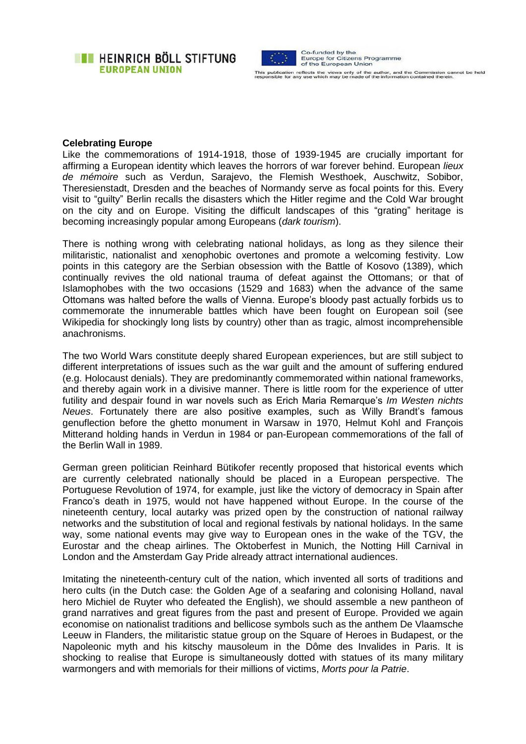**EXAMPLE HEINRICH BÖLL STIFTUNG EUROPEAN UNION** 



This publication reflects the views only of the author, and the Commission cannot be held<br>responsible for any use which may be made of the information contained therein.

#### **Celebrating Europe**

Like the commemorations of 1914-1918, those of 1939-1945 are crucially important for affirming a European identity which leaves the horrors of war forever behind. European *lieux de mémoire* such as Verdun, Sarajevo, the Flemish Westhoek, Auschwitz, Sobibor, Theresienstadt, Dresden and the beaches of Normandy serve as focal points for this. Every visit to "guilty" Berlin recalls the disasters which the Hitler regime and the Cold War brought on the city and on Europe. Visiting the difficult landscapes of this "grating" heritage is becoming increasingly popular among Europeans (*dark tourism*).

There is nothing wrong with celebrating national holidays, as long as they silence their militaristic, nationalist and xenophobic overtones and promote a welcoming festivity. Low points in this category are the Serbian obsession with the Battle of Kosovo (1389), which continually revives the old national trauma of defeat against the Ottomans; or that of Islamophobes with the two occasions (1529 and 1683) when the advance of the same Ottomans was halted before the walls of Vienna. Europe's bloody past actually forbids us to commemorate the innumerable battles which have been fought on European soil (see Wikipedia for shockingly long lists by country) other than as tragic, almost incomprehensible anachronisms.

The two World Wars constitute deeply shared European experiences, but are still subject to different interpretations of issues such as the war guilt and the amount of suffering endured (e.g. Holocaust denials). They are predominantly commemorated within national frameworks, and thereby again work in a divisive manner. There is little room for the experience of utter futility and despair found in war novels such as Erich Maria Remarque's *Im Westen nichts Neues*. Fortunately there are also positive examples, such as Willy Brandt's famous genuflection before the ghetto monument in Warsaw in 1970, Helmut Kohl and François Mitterand holding hands in Verdun in 1984 or pan-European commemorations of the fall of the Berlin Wall in 1989.

German green politician Reinhard Bütikofer recently proposed that historical events which are currently celebrated nationally should be placed in a European perspective. The Portuguese Revolution of 1974, for example, just like the victory of democracy in Spain after Franco's death in 1975, would not have happened without Europe. In the course of the nineteenth century, local autarky was prized open by the construction of national railway networks and the substitution of local and regional festivals by national holidays. In the same way, some national events may give way to European ones in the wake of the TGV, the Eurostar and the cheap airlines. The Oktoberfest in Munich, the Notting Hill Carnival in London and the Amsterdam Gay Pride already attract international audiences.

Imitating the nineteenth-century cult of the nation, which invented all sorts of traditions and hero cults (in the Dutch case: the Golden Age of a seafaring and colonising Holland, naval hero Michiel de Ruyter who defeated the English), we should assemble a new pantheon of grand narratives and great figures from the past and present of Europe. Provided we again economise on nationalist traditions and bellicose symbols such as the anthem De Vlaamsche Leeuw in Flanders, the militaristic statue group on the Square of Heroes in Budapest, or the Napoleonic myth and his kitschy mausoleum in the Dôme des Invalides in Paris. It is shocking to realise that Europe is simultaneously dotted with statues of its many military warmongers and with memorials for their millions of victims, *Morts pour la Patrie*.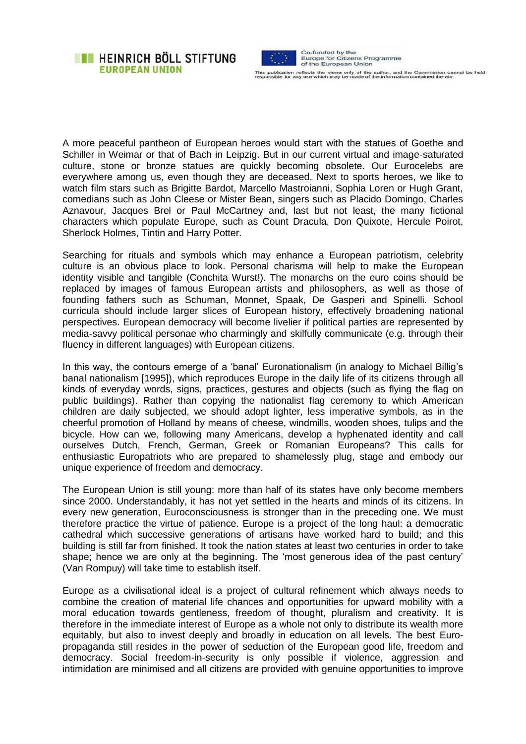## **EXAMPLE HEINRICH BÖLL STIFTUNG EUROPEAN UNION**



This publication reflects the views only of the author, and the Commission cannot be held<br>responsible for any use which may be made of the information contained therein.

A more peaceful pantheon of European heroes would start with the statues of Goethe and Schiller in Weimar or that of Bach in Leipzig. But in our current virtual and image-saturated culture, stone or bronze statues are quickly becoming obsolete. Our Eurocelebs are everywhere among us, even though they are deceased. Next to sports heroes, we like to watch film stars such as Brigitte Bardot, Marcello Mastroianni, Sophia Loren or Hugh Grant, comedians such as John Cleese or Mister Bean, singers such as Placido Domingo, Charles Aznavour, Jacques Brel or Paul McCartney and, last but not least, the many fictional characters which populate Europe, such as Count Dracula, Don Quixote, Hercule Poirot, Sherlock Holmes, Tintin and Harry Potter.

Searching for rituals and symbols which may enhance a European patriotism, celebrity culture is an obvious place to look. Personal charisma will help to make the European identity visible and tangible (Conchita Wurst!). The monarchs on the euro coins should be replaced by images of famous European artists and philosophers, as well as those of founding fathers such as Schuman, Monnet, Spaak, De Gasperi and Spinelli. School curricula should include larger slices of European history, effectively broadening national perspectives. European democracy will become livelier if political parties are represented by media-savvy political personae who charmingly and skilfully communicate (e.g. through their fluency in different languages) with European citizens.

In this way, the contours emerge of a 'banal' Euronationalism (in analogy to Michael Billig's banal nationalism [1995]), which reproduces Europe in the daily life of its citizens through all kinds of everyday words, signs, practices, gestures and objects (such as flying the flag on public buildings). Rather than copying the nationalist flag ceremony to which American children are daily subjected, we should adopt lighter, less imperative symbols, as in the cheerful promotion of Holland by means of cheese, windmills, wooden shoes, tulips and the bicycle. How can we, following many Americans, develop a hyphenated identity and call ourselves Dutch, French, German, Greek or Romanian Europeans? This calls for enthusiastic Europatriots who are prepared to shamelessly plug, stage and embody our unique experience of freedom and democracy.

The European Union is still young: more than half of its states have only become members since 2000. Understandably, it has not yet settled in the hearts and minds of its citizens. In every new generation, Euroconsciousness is stronger than in the preceding one. We must therefore practice the virtue of patience. Europe is a project of the long haul: a democratic cathedral which successive generations of artisans have worked hard to build; and this building is still far from finished. It took the nation states at least two centuries in order to take shape; hence we are only at the beginning. The 'most generous idea of the past century' (Van Rompuy) will take time to establish itself.

Europe as a civilisational ideal is a project of cultural refinement which always needs to combine the creation of material life chances and opportunities for upward mobility with a moral education towards gentleness, freedom of thought, pluralism and creativity. It is therefore in the immediate interest of Europe as a whole not only to distribute its wealth more equitably, but also to invest deeply and broadly in education on all levels. The best Europropaganda still resides in the power of seduction of the European good life, freedom and democracy. Social freedom-in-security is only possible if violence, aggression and intimidation are minimised and all citizens are provided with genuine opportunities to improve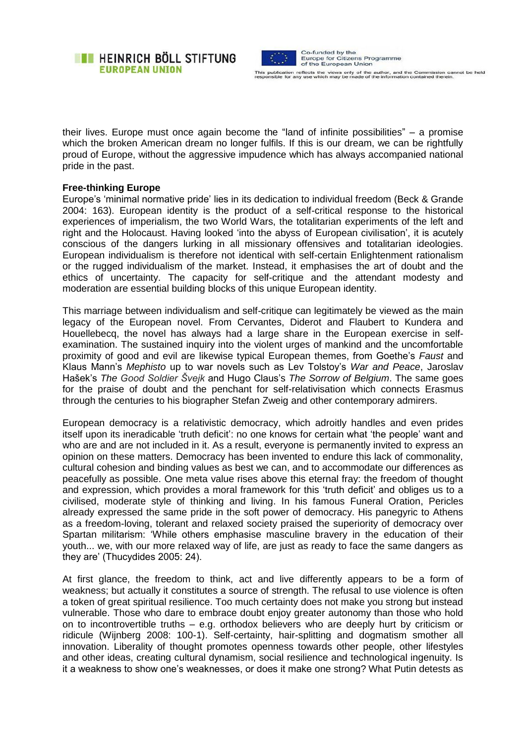



their lives. Europe must once again become the "land of infinite possibilities" – a promise which the broken American dream no longer fulfils. If this is our dream, we can be rightfully proud of Europe, without the aggressive impudence which has always accompanied national pride in the past.

### **Free-thinking Europe**

Europe's 'minimal normative pride' lies in its dedication to individual freedom (Beck & Grande 2004: 163). European identity is the product of a self-critical response to the historical experiences of imperialism, the two World Wars, the totalitarian experiments of the left and right and the Holocaust. Having looked 'into the abyss of European civilisation', it is acutely conscious of the dangers lurking in all missionary offensives and totalitarian ideologies. European individualism is therefore not identical with self-certain Enlightenment rationalism or the rugged individualism of the market. Instead, it emphasises the art of doubt and the ethics of uncertainty. The capacity for self-critique and the attendant modesty and moderation are essential building blocks of this unique European identity.

This marriage between individualism and self-critique can legitimately be viewed as the main legacy of the European novel. From Cervantes, Diderot and Flaubert to Kundera and Houellebecq, the novel has always had a large share in the European exercise in selfexamination. The sustained inquiry into the violent urges of mankind and the uncomfortable proximity of good and evil are likewise typical European themes, from Goethe's *Faust* and Klaus Mann's *Mephisto* up to war novels such as Lev Tolstoy's *War and Peace*, Jaroslav Hašek's *The Good Soldier Švejk* and Hugo Claus's *The Sorrow of Belgium*. The same goes for the praise of doubt and the penchant for self-relativisation which connects Erasmus through the centuries to his biographer Stefan Zweig and other contemporary admirers.

European democracy is a relativistic democracy, which adroitly handles and even prides itself upon its ineradicable 'truth deficit': no one knows for certain what 'the people' want and who are and are not included in it. As a result, everyone is permanently invited to express an opinion on these matters. Democracy has been invented to endure this lack of commonality, cultural cohesion and binding values as best we can, and to accommodate our differences as peacefully as possible. One meta value rises above this eternal fray: the freedom of thought and expression, which provides a moral framework for this 'truth deficit' and obliges us to a civilised, moderate style of thinking and living. In his famous Funeral Oration, Pericles already expressed the same pride in the soft power of democracy. His panegyric to Athens as a freedom-loving, tolerant and relaxed society praised the superiority of democracy over Spartan militarism: 'While others emphasise masculine bravery in the education of their youth... we, with our more relaxed way of life, are just as ready to face the same dangers as they are' (Thucydides 2005: 24).

At first glance, the freedom to think, act and live differently appears to be a form of weakness; but actually it constitutes a source of strength. The refusal to use violence is often a token of great spiritual resilience. Too much certainty does not make you strong but instead vulnerable. Those who dare to embrace doubt enjoy greater autonomy than those who hold on to incontrovertible truths – e.g. orthodox believers who are deeply hurt by criticism or ridicule (Wijnberg 2008: 100-1). Self-certainty, hair-splitting and dogmatism smother all innovation. Liberality of thought promotes openness towards other people, other lifestyles and other ideas, creating cultural dynamism, social resilience and technological ingenuity. Is it a weakness to show one's weaknesses, or does it make one strong? What Putin detests as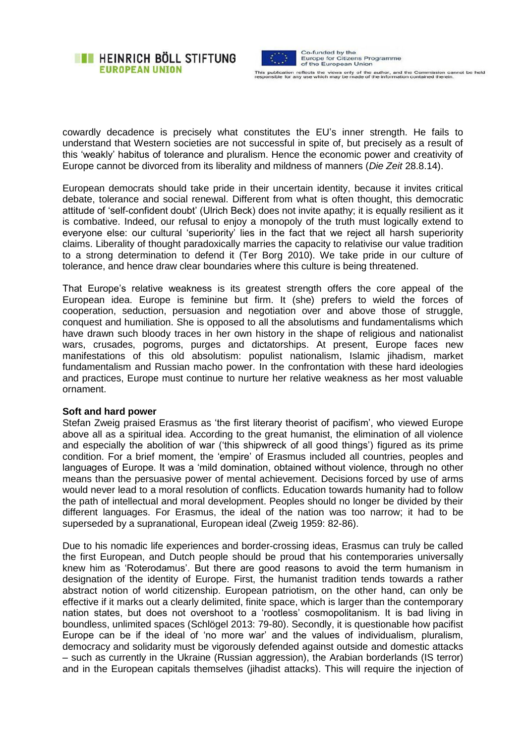



cowardly decadence is precisely what constitutes the EU's inner strength. He fails to understand that Western societies are not successful in spite of, but precisely as a result of this 'weakly' habitus of tolerance and pluralism. Hence the economic power and creativity of Europe cannot be divorced from its liberality and mildness of manners (*Die Zeit* 28.8.14).

European democrats should take pride in their uncertain identity, because it invites critical debate, tolerance and social renewal. Different from what is often thought, this democratic attitude of 'self-confident doubt' (Ulrich Beck) does not invite apathy; it is equally resilient as it is combative. Indeed, our refusal to enjoy a monopoly of the truth must logically extend to everyone else: our cultural 'superiority' lies in the fact that we reject all harsh superiority claims. Liberality of thought paradoxically marries the capacity to relativise our value tradition to a strong determination to defend it (Ter Borg 2010). We take pride in our culture of tolerance, and hence draw clear boundaries where this culture is being threatened.

That Europe's relative weakness is its greatest strength offers the core appeal of the European idea. Europe is feminine but firm. It (she) prefers to wield the forces of cooperation, seduction, persuasion and negotiation over and above those of struggle, conquest and humiliation. She is opposed to all the absolutisms and fundamentalisms which have drawn such bloody traces in her own history in the shape of religious and nationalist wars, crusades, pogroms, purges and dictatorships. At present, Europe faces new manifestations of this old absolutism: populist nationalism, Islamic jihadism, market fundamentalism and Russian macho power. In the confrontation with these hard ideologies and practices, Europe must continue to nurture her relative weakness as her most valuable ornament.

#### **Soft and hard power**

Stefan Zweig praised Erasmus as 'the first literary theorist of pacifism', who viewed Europe above all as a spiritual idea. According to the great humanist, the elimination of all violence and especially the abolition of war ('this shipwreck of all good things') figured as its prime condition. For a brief moment, the 'empire' of Erasmus included all countries, peoples and languages of Europe. It was a 'mild domination, obtained without violence, through no other means than the persuasive power of mental achievement. Decisions forced by use of arms would never lead to a moral resolution of conflicts. Education towards humanity had to follow the path of intellectual and moral development. Peoples should no longer be divided by their different languages. For Erasmus, the ideal of the nation was too narrow; it had to be superseded by a supranational, European ideal (Zweig 1959: 82-86).

Due to his nomadic life experiences and border-crossing ideas, Erasmus can truly be called the first European, and Dutch people should be proud that his contemporaries universally knew him as 'Roterodamus'. But there are good reasons to avoid the term humanism in designation of the identity of Europe. First, the humanist tradition tends towards a rather abstract notion of world citizenship. European patriotism, on the other hand, can only be effective if it marks out a clearly delimited, finite space, which is larger than the contemporary nation states, but does not overshoot to a 'rootless' cosmopolitanism. It is bad living in boundless, unlimited spaces (Schlögel 2013: 79-80). Secondly, it is questionable how pacifist Europe can be if the ideal of 'no more war' and the values of individualism, pluralism, democracy and solidarity must be vigorously defended against outside and domestic attacks – such as currently in the Ukraine (Russian aggression), the Arabian borderlands (IS terror) and in the European capitals themselves (jihadist attacks). This will require the injection of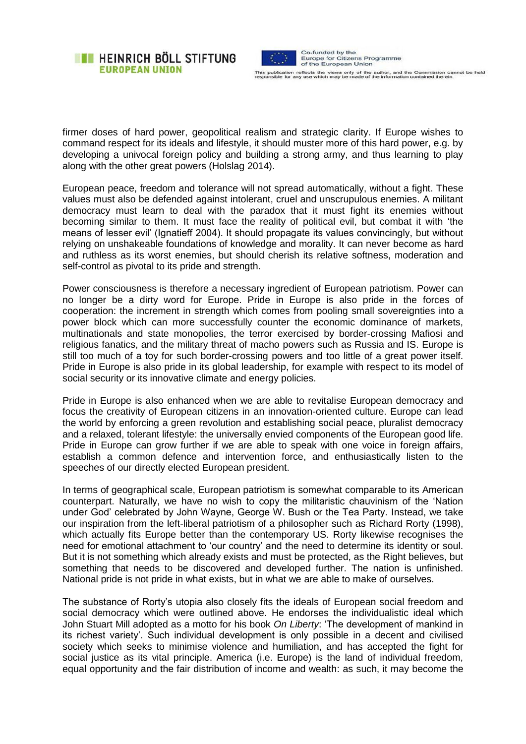



firmer doses of hard power, geopolitical realism and strategic clarity. If Europe wishes to command respect for its ideals and lifestyle, it should muster more of this hard power, e.g. by developing a univocal foreign policy and building a strong army, and thus learning to play along with the other great powers (Holslag 2014).

European peace, freedom and tolerance will not spread automatically, without a fight. These values must also be defended against intolerant, cruel and unscrupulous enemies. A militant democracy must learn to deal with the paradox that it must fight its enemies without becoming similar to them. It must face the reality of political evil, but combat it with 'the means of lesser evil' (Ignatieff 2004). It should propagate its values convincingly, but without relying on unshakeable foundations of knowledge and morality. It can never become as hard and ruthless as its worst enemies, but should cherish its relative softness, moderation and self-control as pivotal to its pride and strength.

Power consciousness is therefore a necessary ingredient of European patriotism. Power can no longer be a dirty word for Europe. Pride in Europe is also pride in the forces of cooperation: the increment in strength which comes from pooling small sovereignties into a power block which can more successfully counter the economic dominance of markets, multinationals and state monopolies, the terror exercised by border-crossing Mafiosi and religious fanatics, and the military threat of macho powers such as Russia and IS. Europe is still too much of a toy for such border-crossing powers and too little of a great power itself. Pride in Europe is also pride in its global leadership, for example with respect to its model of social security or its innovative climate and energy policies.

Pride in Europe is also enhanced when we are able to revitalise European democracy and focus the creativity of European citizens in an innovation-oriented culture. Europe can lead the world by enforcing a green revolution and establishing social peace, pluralist democracy and a relaxed, tolerant lifestyle: the universally envied components of the European good life. Pride in Europe can grow further if we are able to speak with one voice in foreign affairs, establish a common defence and intervention force, and enthusiastically listen to the speeches of our directly elected European president.

In terms of geographical scale, European patriotism is somewhat comparable to its American counterpart. Naturally, we have no wish to copy the militaristic chauvinism of the 'Nation under God' celebrated by John Wayne, George W. Bush or the Tea Party. Instead, we take our inspiration from the left-liberal patriotism of a philosopher such as Richard Rorty (1998), which actually fits Europe better than the contemporary US. Rorty likewise recognises the need for emotional attachment to 'our country' and the need to determine its identity or soul. But it is not something which already exists and must be protected, as the Right believes, but something that needs to be discovered and developed further. The nation is unfinished. National pride is not pride in what exists, but in what we are able to make of ourselves.

The substance of Rorty's utopia also closely fits the ideals of European social freedom and social democracy which were outlined above. He endorses the individualistic ideal which John Stuart Mill adopted as a motto for his book *On Liberty*: 'The development of mankind in its richest variety'. Such individual development is only possible in a decent and civilised society which seeks to minimise violence and humiliation, and has accepted the fight for social justice as its vital principle. America (i.e. Europe) is the land of individual freedom, equal opportunity and the fair distribution of income and wealth: as such, it may become the